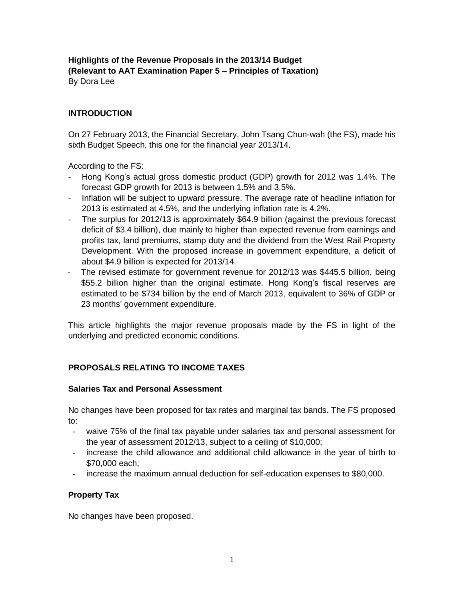# **Highlights of the Revenue Proposals in the 2013/14 Budget (Relevant to AAT Examination Paper 5 – Principles of Taxation)** By Dora Lee

# **INTRODUCTION**

On 27 February 2013, the Financial Secretary, John Tsang Chun-wah (the FS), made his sixth Budget Speech, this one for the financial year 2013/14.

According to the FS:

- Hong Kong's actual gross domestic product (GDP) growth for 2012 was 1.4%. The forecast GDP growth for 2013 is between 1.5% and 3.5%.
- Inflation will be subject to upward pressure. The average rate of headline inflation for 2013 is estimated at 4.5%, and the underlying inflation rate is 4.2%.
- The surplus for 2012/13 is approximately \$64.9 billion (against the previous forecast deficit of \$3.4 billion), due mainly to higher than expected revenue from earnings and profits tax, land premiums, stamp duty and the dividend from the West Rail Property Development. With the proposed increase in government expenditure, a deficit of about \$4.9 billion is expected for 2013/14.
- The revised estimate for government revenue for 2012/13 was \$445.5 billion, being \$55.2 billion higher than the original estimate. Hong Kong's fiscal reserves are estimated to be \$734 billion by the end of March 2013, equivalent to 36% of GDP or 23 months' government expenditure.

This article highlights the major revenue proposals made by the FS in light of the underlying and predicted economic conditions.

# **PROPOSALS RELATING TO INCOME TAXES**

## **Salaries Tax and Personal Assessment**

No changes have been proposed for tax rates and marginal tax bands. The FS proposed to:

- waive 75% of the final tax payable under salaries tax and personal assessment for the year of assessment 2012/13, subject to a ceiling of \$10,000;
- increase the child allowance and additional child allowance in the year of birth to \$70,000 each;
- increase the maximum annual deduction for self-education expenses to \$80,000.

## **Property Tax**

No changes have been proposed.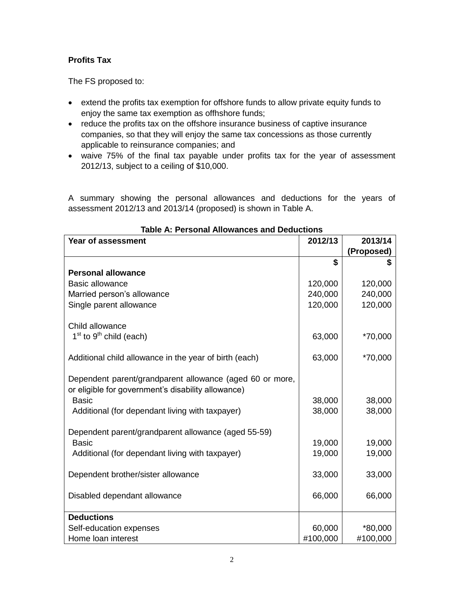# **Profits Tax**

The FS proposed to:

- extend the profits tax exemption for offshore funds to allow private equity funds to enjoy the same tax exemption as offhshore funds;
- reduce the profits tax on the offshore insurance business of captive insurance companies, so that they will enjoy the same tax concessions as those currently applicable to reinsurance companies; and
- waive 75% of the final tax payable under profits tax for the year of assessment 2012/13, subject to a ceiling of \$10,000.

A summary showing the personal allowances and deductions for the years of assessment 2012/13 and 2013/14 (proposed) is shown in Table A.

| 2012/13<br>Year of assessment                                                                                  |          |                       |  |  |
|----------------------------------------------------------------------------------------------------------------|----------|-----------------------|--|--|
|                                                                                                                |          | 2013/14<br>(Proposed) |  |  |
|                                                                                                                | \$       | S                     |  |  |
| <b>Personal allowance</b>                                                                                      |          |                       |  |  |
| <b>Basic allowance</b>                                                                                         | 120,000  | 120,000               |  |  |
| Married person's allowance                                                                                     | 240,000  | 240,000               |  |  |
| Single parent allowance                                                                                        | 120,000  | 120,000               |  |  |
| Child allowance                                                                                                |          |                       |  |  |
| $1st$ to $9th$ child (each)                                                                                    | 63,000   | *70,000               |  |  |
| Additional child allowance in the year of birth (each)                                                         | 63,000   | *70,000               |  |  |
| Dependent parent/grandparent allowance (aged 60 or more,<br>or eligible for government's disability allowance) |          |                       |  |  |
| <b>Basic</b>                                                                                                   | 38,000   | 38,000                |  |  |
| Additional (for dependant living with taxpayer)                                                                | 38,000   | 38,000                |  |  |
| Dependent parent/grandparent allowance (aged 55-59)                                                            |          |                       |  |  |
| <b>Basic</b>                                                                                                   | 19,000   | 19,000                |  |  |
| Additional (for dependant living with taxpayer)                                                                | 19,000   | 19,000                |  |  |
| Dependent brother/sister allowance                                                                             | 33,000   | 33,000                |  |  |
| Disabled dependant allowance                                                                                   | 66,000   | 66,000                |  |  |
| <b>Deductions</b>                                                                                              |          |                       |  |  |
| Self-education expenses                                                                                        | 60,000   | *80,000               |  |  |
| Home loan interest                                                                                             | #100,000 | #100,000              |  |  |

#### **Table A: Personal Allowances and Deductions**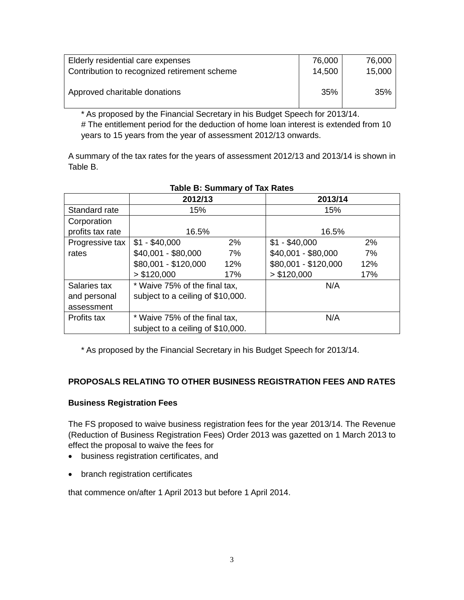| Elderly residential care expenses            | 76,000 | 76,000 |
|----------------------------------------------|--------|--------|
| Contribution to recognized retirement scheme | 14,500 | 15,000 |
|                                              |        |        |
| Approved charitable donations                | 35%    | 35%    |
|                                              |        |        |

\* As proposed by the Financial Secretary in his Budget Speech for 2013/14. # The entitlement period for the deduction of home loan interest is extended from 10 years to 15 years from the year of assessment 2012/13 onwards.

A summary of the tax rates for the years of assessment 2012/13 and 2013/14 is shown in Table B.

|                  | 2012/13                           |     | 2013/14              |     |
|------------------|-----------------------------------|-----|----------------------|-----|
| Standard rate    | 15%                               |     | 15%                  |     |
| Corporation      |                                   |     |                      |     |
| profits tax rate | 16.5%                             |     | 16.5%                |     |
| Progressive tax  | $$1 - $40,000$                    | 2%  | $$1 - $40,000$       | 2%  |
| rates            | \$40,001 - \$80,000               | 7%  | \$40,001 - \$80,000  | 7%  |
|                  | \$80,001 - \$120,000              | 12% | \$80,001 - \$120,000 | 12% |
|                  | > \$120,000                       | 17% | > \$120,000          | 17% |
| Salaries tax     | * Waive 75% of the final tax,     |     | N/A                  |     |
| and personal     | subject to a ceiling of \$10,000. |     |                      |     |
| assessment       |                                   |     |                      |     |
| Profits tax      | * Waive 75% of the final tax,     |     | N/A                  |     |
|                  | subject to a ceiling of \$10,000. |     |                      |     |

# **Table B: Summary of Tax Rates**

\* As proposed by the Financial Secretary in his Budget Speech for 2013/14.

## **PROPOSALS RELATING TO OTHER BUSINESS REGISTRATION FEES AND RATES**

## **Business Registration Fees**

The FS proposed to waive business registration fees for the year 2013/14. The Revenue (Reduction of Business Registration Fees) Order 2013 was gazetted on 1 March 2013 to effect the proposal to waive the fees for

- business registration certificates, and
- branch registration certificates

that commence on/after 1 April 2013 but before 1 April 2014.